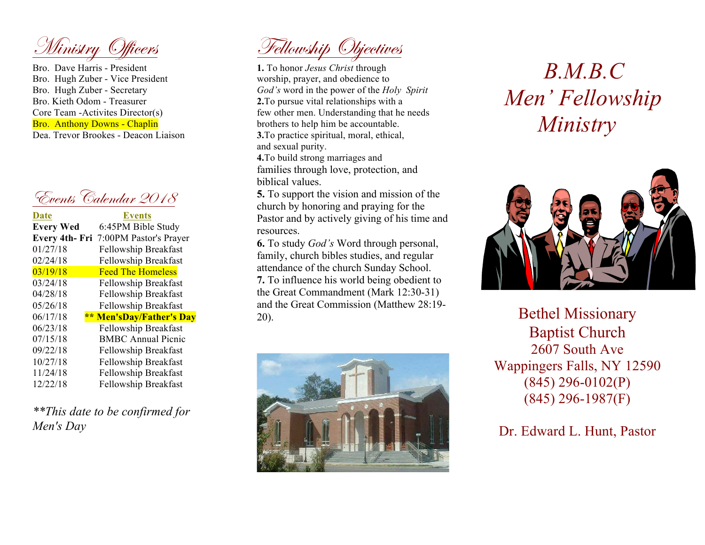Ministry Officers

Bro. Dave Harris - President Bro. Hugh Zuber - Vice President Bro. Hugh Zuber - Secretary Bro. Kieth Odom - Treasurer Core Team -Activites Director(s) Bro. Anthony Downs - Chaplin Dea. Trevor Brookes - Deacon Liaison



| <b>Events</b>                         |
|---------------------------------------|
| 6:45PM Bible Study                    |
| Every 4th- Fri 7:00PM Pastor's Prayer |
| Fellowship Breakfast                  |
| Fellowship Breakfast                  |
| <b>Feed The Homeless</b>              |
| Fellowship Breakfast                  |
| Fellowship Breakfast                  |
| Fellowship Breakfast                  |
| ** Men'sDay/Father's Day              |
| Fellowship Breakfast                  |
| <b>BMBC</b> Annual Picnic             |
| Fellowship Breakfast                  |
| Fellowship Breakfast                  |
| Fellowship Breakfast                  |
| Fellowship Breakfast                  |
|                                       |

*\*\*This date to be confirmed for Men's Day*

Fellowship Objectives

**1.** To honor *Jesus Christ* through worship, prayer, and obedience to *God's* word in the power of the *Holy Spirit* **2.**To pursue vital relationships with a few other men. Understanding that he needs brothers to help him be accountable. **3.**To practice spiritual, moral, ethical, and sexual purity.

**4.**To build strong marriages and families through love, protection, and biblical values.

**5.** To support the vision and mission of the church by honoring and praying for the Pastor and by actively giving of his time and resources.

**6.** To study *God's* Word through personal, family, church bibles studies, and regular attendance of the church Sunday School. **7.** To influence his world being obedient to the Great Commandment (Mark 12:30-31) and the Great Commission (Matthew 28:19- 20).



## *B.M.B.C Men' Fellowship Ministry*



Bethel Missionary Baptist Church 2607 South Ave Wappingers Falls, NY 12590 (845) 296-0102(P) (845) 296-1987(F)

Dr. Edward L. Hunt, Pastor